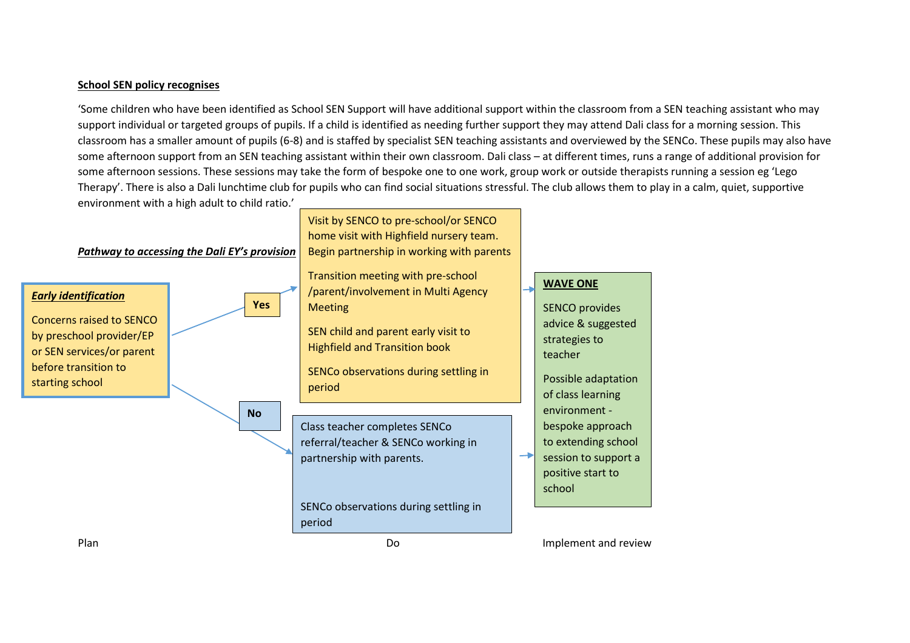#### **School SEN policy recognises**

'Some children who have been identified as School SEN Support will have additional support within the classroom from a SEN teaching assistant who may support individual or targeted groups of pupils. If a child is identified as needing further support they may attend Dali class for a morning session. This classroom has a smaller amount of pupils (6-8) and is staffed by specialist SEN teaching assistants and overviewed by the SENCo. These pupils may also have some afternoon support from an SEN teaching assistant within their own classroom. Dali class – at different times, runs a range of additional provision for some afternoon sessions. These sessions may take the form of bespoke one to one work, group work or outside therapists running a session eg 'Lego Therapy'. There is also a Dali lunchtime club for pupils who can find social situations stressful. The club allows them to play in a calm, quiet, supportive environment with a high adult to child ratio.'

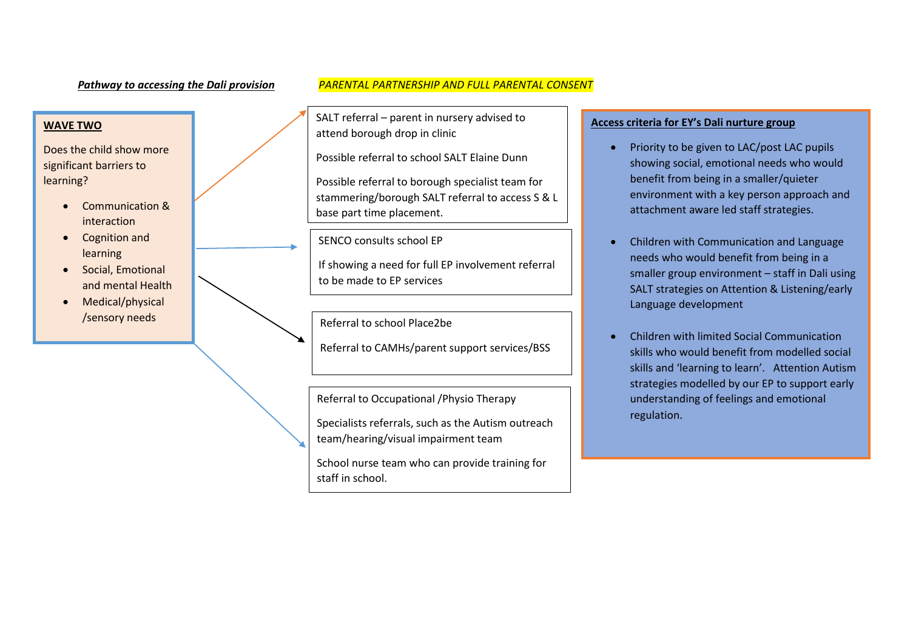### **WAVE TWO**

Does the child show more significant barriers to learning?

- Communication & interaction
- Cognition and learning
- Social, Emotional and mental Health
- Medical/physical /sensory needs

# *Pathway to accessing the Dali provision PARENTAL PARTNERSHIP AND FULL PARENTAL CONSENT*

SALT referral – parent in nursery advised to attend borough drop in clinic

Possible referral to school SALT Elaine Dunn

Possible referral to borough specialist team for stammering/borough SALT referral to access S & L base part time placement.

SENCO consults school EP

If showing a need for full EP involvement referral to be made to EP services

Referral to school Place2be

Referral to CAMHs/parent support services/BSS

Referral to Occupational /Physio Therapy

Specialists referrals, such as the Autism outreach team/hearing/visual impairment team

School nurse team who can provide training for staff in school.

## **Access criteria for EY's Dali nurture group**

- Priority to be given to LAC/post LAC pupils showing social, emotional needs who would benefit from being in a smaller/quieter environment with a key person approach and attachment aware led staff strategies.
- Children with Communication and Language needs who would benefit from being in a smaller group environment – staff in Dali using SALT strategies on Attention & Listening/early Language development
- Children with limited Social Communication skills who would benefit from modelled social skills and 'learning to learn'. Attention Autism strategies modelled by our EP to support early understanding of feelings and emotional regulation.